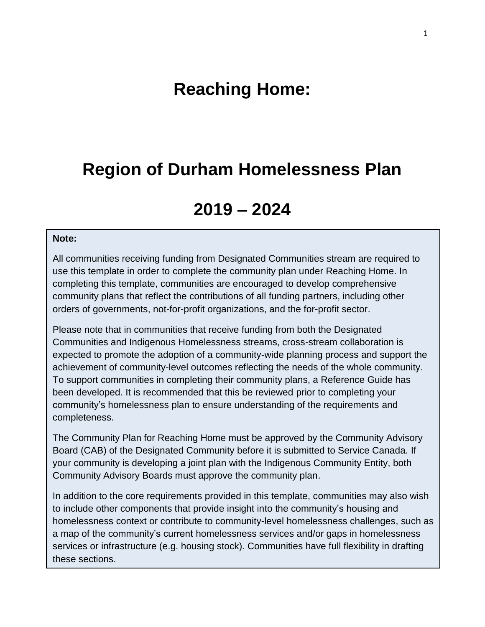# **Reaching Home:**

## **Region of Durham Homelessness Plan**

# **2019 – 2024**

#### **Note:**

All communities receiving funding from Designated Communities stream are required to use this template in order to complete the community plan under Reaching Home. In completing this template, communities are encouraged to develop comprehensive community plans that reflect the contributions of all funding partners, including other orders of governments, not-for-profit organizations, and the for-profit sector.

Please note that in communities that receive funding from both the Designated Communities and Indigenous Homelessness streams, cross-stream collaboration is expected to promote the adoption of a community-wide planning process and support the achievement of community-level outcomes reflecting the needs of the whole community. To support communities in completing their community plans, a Reference Guide has been developed. It is recommended that this be reviewed prior to completing your community's homelessness plan to ensure understanding of the requirements and completeness.

The Community Plan for Reaching Home must be approved by the Community Advisory Board (CAB) of the Designated Community before it is submitted to Service Canada. If your community is developing a joint plan with the Indigenous Community Entity, both Community Advisory Boards must approve the community plan.

In addition to the core requirements provided in this template, communities may also wish to include other components that provide insight into the community's housing and homelessness context or contribute to community-level homelessness challenges, such as a map of the community's current homelessness services and/or gaps in homelessness services or infrastructure (e.g. housing stock). Communities have full flexibility in drafting these sections.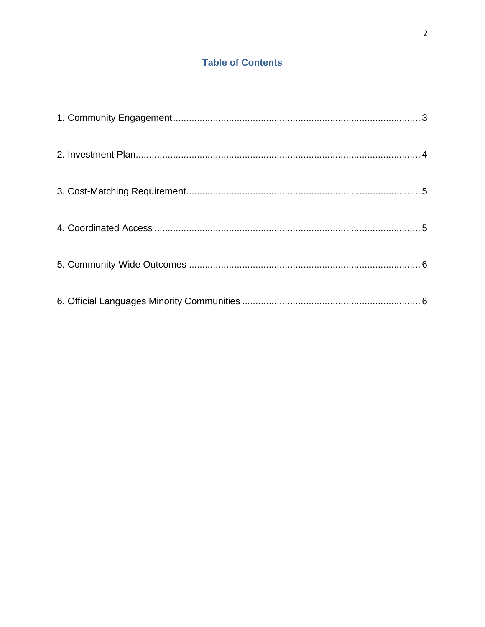### **Table of Contents**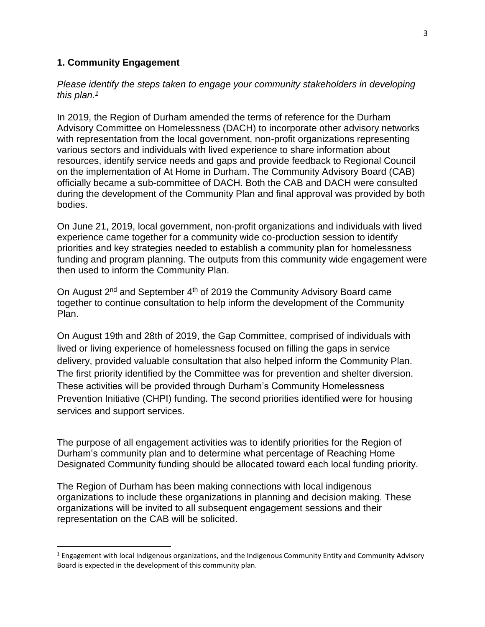#### <span id="page-2-0"></span>**1. Community Engagement**

 $\overline{\phantom{a}}$ 

*Please identify the steps taken to engage your community stakeholders in developing this plan. 1*

In 2019, the Region of Durham amended the terms of reference for the Durham Advisory Committee on Homelessness (DACH) to incorporate other advisory networks with representation from the local government, non-profit organizations representing various sectors and individuals with lived experience to share information about resources, identify service needs and gaps and provide feedback to Regional Council on the implementation of At Home in Durham. The Community Advisory Board (CAB) officially became a sub-committee of DACH. Both the CAB and DACH were consulted during the development of the Community Plan and final approval was provided by both bodies.

On June 21, 2019, local government, non-profit organizations and individuals with lived experience came together for a community wide co-production session to identify priorities and key strategies needed to establish a community plan for homelessness funding and program planning. The outputs from this community wide engagement were then used to inform the Community Plan.

On August  $2^{nd}$  and September  $4^{th}$  of 2019 the Community Advisory Board came together to continue consultation to help inform the development of the Community Plan.

On August 19th and 28th of 2019, the Gap Committee, comprised of individuals with lived or living experience of homelessness focused on filling the gaps in service delivery, provided valuable consultation that also helped inform the Community Plan. The first priority identified by the Committee was for prevention and shelter diversion. These activities will be provided through Durham's Community Homelessness Prevention Initiative (CHPI) funding. The second priorities identified were for housing services and support services.

The purpose of all engagement activities was to identify priorities for the Region of Durham's community plan and to determine what percentage of Reaching Home Designated Community funding should be allocated toward each local funding priority.

The Region of Durham has been making connections with local indigenous organizations to include these organizations in planning and decision making. These organizations will be invited to all subsequent engagement sessions and their representation on the CAB will be solicited.

 $1$  Engagement with local Indigenous organizations, and the Indigenous Community Entity and Community Advisory Board is expected in the development of this community plan.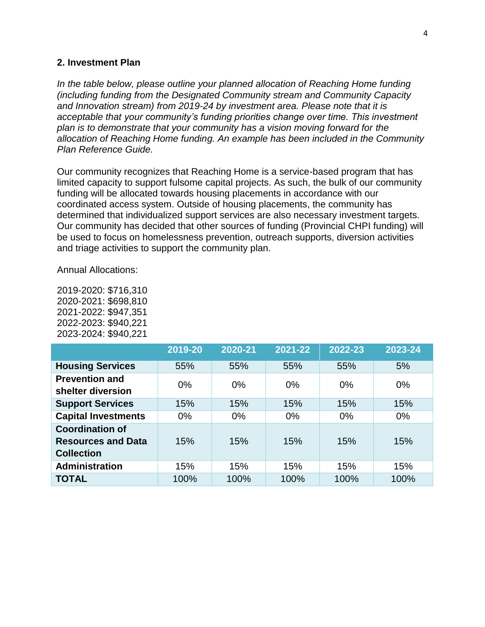#### <span id="page-3-0"></span>**2. Investment Plan**

*In the table below, please outline your planned allocation of Reaching Home funding (including funding from the Designated Community stream and Community Capacity and Innovation stream) from 2019-24 by investment area. Please note that it is acceptable that your community's funding priorities change over time. This investment plan is to demonstrate that your community has a vision moving forward for the allocation of Reaching Home funding. An example has been included in the Community Plan Reference Guide.* 

Our community recognizes that Reaching Home is a service-based program that has limited capacity to support fulsome capital projects. As such, the bulk of our community funding will be allocated towards housing placements in accordance with our coordinated access system. Outside of housing placements, the community has determined that individualized support services are also necessary investment targets. Our community has decided that other sources of funding (Provincial CHPI funding) will be used to focus on homelessness prevention, outreach supports, diversion activities and triage activities to support the community plan.

Annual Allocations:

| 2019-2020: \$716,310 |
|----------------------|
| 2020-2021: \$698,810 |
| 2021-2022: \$947,351 |
| 2022-2023: \$940,221 |
| 2023-2024: \$940,221 |

|                                                                          | 2019-20 | 2020-21 | 2021-22 | 2022-23 | 2023-24 |
|--------------------------------------------------------------------------|---------|---------|---------|---------|---------|
| <b>Housing Services</b>                                                  | 55%     | 55%     | 55%     | 55%     | 5%      |
| <b>Prevention and</b><br>shelter diversion                               | $0\%$   | $0\%$   | $0\%$   | $0\%$   | $0\%$   |
| <b>Support Services</b>                                                  | 15%     | 15%     | 15%     | 15%     | 15%     |
| <b>Capital Investments</b>                                               | $0\%$   | $0\%$   | $0\%$   | $0\%$   | $0\%$   |
| <b>Coordination of</b><br><b>Resources and Data</b><br><b>Collection</b> | 15%     | 15%     | 15%     | 15%     | 15%     |
| <b>Administration</b>                                                    | 15%     | 15%     | 15%     | 15%     | 15%     |
| <b>TOTAL</b>                                                             | 100%    | 100%    | 100%    | 100%    | 100%    |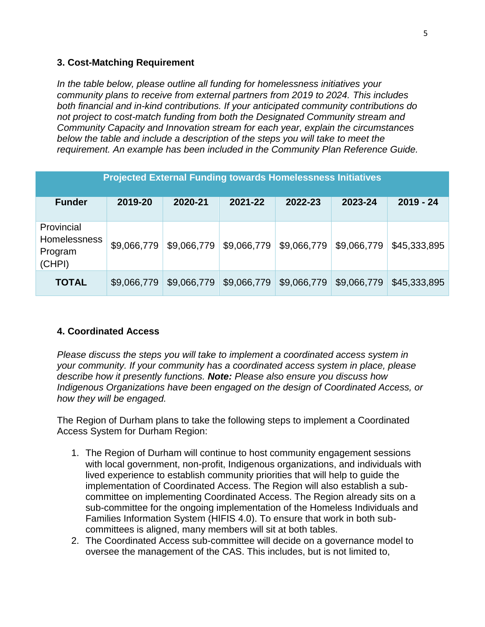#### <span id="page-4-0"></span>**3. Cost-Matching Requirement**

*In the table below, please outline all funding for homelessness initiatives your community plans to receive from external partners from 2019 to 2024. This includes both financial and in-kind contributions. If your anticipated community contributions do not project to cost-match funding from both the Designated Community stream and Community Capacity and Innovation stream for each year, explain the circumstances below the table and include a description of the steps you will take to meet the requirement. An example has been included in the Community Plan Reference Guide.*

| <b>Projected External Funding towards Homelessness Initiatives</b> |             |             |             |             |             |              |  |  |  |
|--------------------------------------------------------------------|-------------|-------------|-------------|-------------|-------------|--------------|--|--|--|
| <b>Funder</b>                                                      | 2019-20     | 2020-21     | 2021-22     | 2022-23     | 2023-24     | $2019 - 24$  |  |  |  |
| Provincial<br><b>Homelessness</b><br>Program<br>(CHPI)             | \$9,066,779 | \$9,066,779 | \$9,066,779 | \$9,066,779 | \$9,066,779 | \$45,333,895 |  |  |  |
| <b>TOTAL</b>                                                       | \$9,066,779 | \$9,066,779 | \$9,066,779 | \$9,066,779 | \$9,066,779 | \$45,333,895 |  |  |  |

#### <span id="page-4-1"></span>**4. Coordinated Access**

*Please discuss the steps you will take to implement a coordinated access system in your community. If your community has a coordinated access system in place, please describe how it presently functions. Note: Please also ensure you discuss how Indigenous Organizations have been engaged on the design of Coordinated Access, or how they will be engaged.* 

The Region of Durham plans to take the following steps to implement a Coordinated Access System for Durham Region:

- 1. The Region of Durham will continue to host community engagement sessions with local government, non-profit, Indigenous organizations, and individuals with lived experience to establish community priorities that will help to guide the implementation of Coordinated Access. The Region will also establish a subcommittee on implementing Coordinated Access. The Region already sits on a sub-committee for the ongoing implementation of the Homeless Individuals and Families Information System (HIFIS 4.0). To ensure that work in both subcommittees is aligned, many members will sit at both tables.
- 2. The Coordinated Access sub-committee will decide on a governance model to oversee the management of the CAS. This includes, but is not limited to,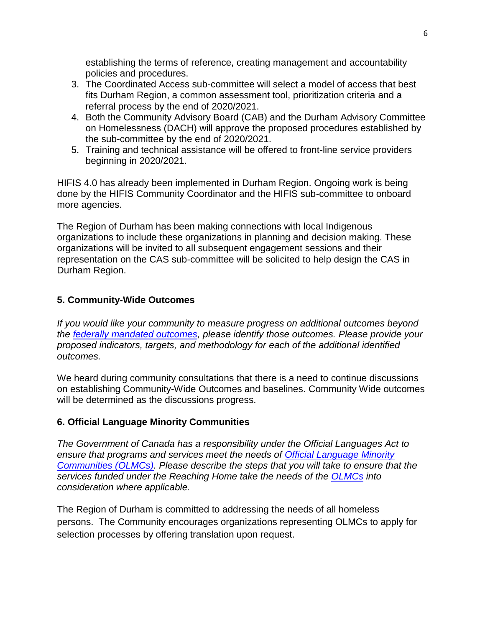establishing the terms of reference, creating management and accountability policies and procedures.

- 3. The Coordinated Access sub-committee will select a model of access that best fits Durham Region, a common assessment tool, prioritization criteria and a referral process by the end of 2020/2021.
- 4. Both the Community Advisory Board (CAB) and the Durham Advisory Committee on Homelessness (DACH) will approve the proposed procedures established by the sub-committee by the end of 2020/2021.
- 5. Training and technical assistance will be offered to front-line service providers beginning in 2020/2021.

HIFIS 4.0 has already been implemented in Durham Region. Ongoing work is being done by the HIFIS Community Coordinator and the HIFIS sub-committee to onboard more agencies.

The Region of Durham has been making connections with local Indigenous organizations to include these organizations in planning and decision making. These organizations will be invited to all subsequent engagement sessions and their representation on the CAS sub-committee will be solicited to help design the CAS in Durham Region.

### <span id="page-5-0"></span>**5. Community-Wide Outcomes**

*If you would like your community to measure progress on additional outcomes beyond the [federally mandated outcomes,](https://www.canada.ca/en/employment-social-development/programs/homelessness/directives.html#h2.3-h3.3) please identify those outcomes. Please provide your proposed indicators, targets, and methodology for each of the additional identified outcomes.* 

We heard during community consultations that there is a need to continue discussions on establishing Community-Wide Outcomes and baselines. Community Wide outcomes will be determined as the discussions progress.

### <span id="page-5-1"></span>**6. Official Language Minority Communities**

*The Government of Canada has a responsibility under the Official Languages Act to ensure that programs and services meet the needs of [Official Language Minority](https://www.canada.ca/en/employment-social-development/programs/homelessness/directives.html#h2.3-h3.7)  [Communities \(OLMCs\).](https://www.canada.ca/en/employment-social-development/programs/homelessness/directives.html#h2.3-h3.7) Please describe the steps that you will take to ensure that the services funded under the Reaching Home take the needs of the [OLMCs](https://www.canada.ca/en/employment-social-development/programs/homelessness/directives.html#h2.3-h3.7) into consideration where applicable.* 

The Region of Durham is committed to addressing the needs of all homeless persons. The Community encourages organizations representing OLMCs to apply for selection processes by offering translation upon request.